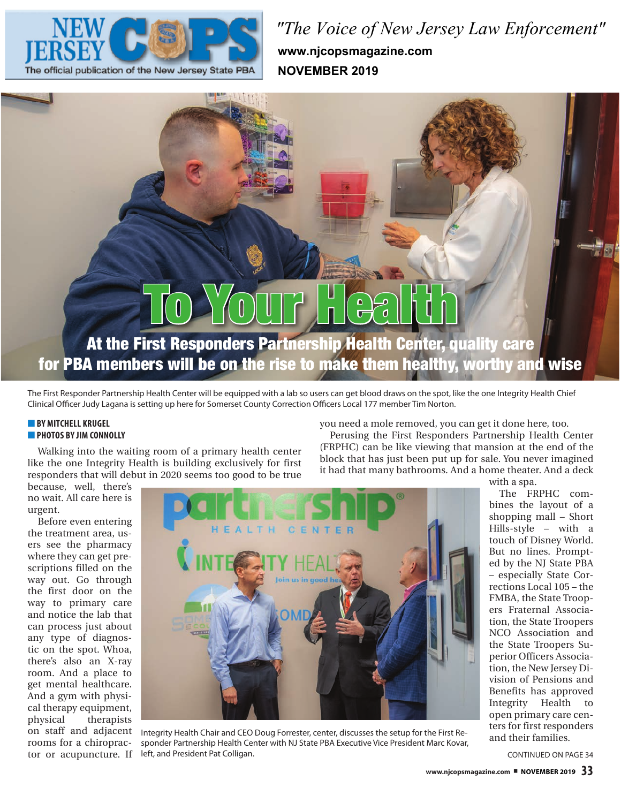

*"The Voice of New Jersey Law Enforcement"* **www.njcopsmagazine.com NOVEMBER 2019**

# To Your Health

At the First Responders Partnership Health Center, quality care for PBA members will be on the rise to make them healthy, worthy and wise

The First Responder Partnership Health Center will be equipped with a lab so users can get blood draws on the spot, like the one Integrity Health Chief Clinical Officer Judy Lagana is setting up here for Somerset County Correction Officers Local 177 member Tim Norton.

# **BY MITCHELL KRUGEL** ■ **PHOTOS BY JIM CONNOLLY**

Walking into the waiting room of a primary health center like the one Integrity Health is building exclusively for first responders that will debut in 2020 seems too good to be true

because, well, there's no wait. All care here is urgent.

Before even entering the treatment area, users see the pharmacy where they can get prescriptions filled on the way out. Go through the first door on the way to primary care and notice the lab that can process just about any type of diagnostic on the spot. Whoa, there's also an X-ray room. And a place to get mental healthcare. And a gym with physical therapy equipment, physical therapists on staff and adjacent rooms for a chiropractor or acupuncture. If



Integrity Health Chair and CEO Doug Forrester, center, discusses the setup for the First Responder Partnership Health Center with NJ State PBA Executive Vice President Marc Kovar, left, and President Pat Colligan. Continued by the continued on PAGE 34

you need a mole removed, you can get it done here, too.

Perusing the First Responders Partnership Health Center (FRPHC) can be like viewing that mansion at the end of the block that has just been put up for sale. You never imagined it had that many bathrooms. And a home theater. And a deck

with a spa.

The FRPHC combines the layout of a shopping mall – Short Hills-style – with a touch of Disney World. But no lines. Prompted by the NJ State PBA – especially State Corrections Local 105 – the FMBA, the State Troopers Fraternal Association, the State Troopers NCO Association and the State Troopers Superior Officers Association, the New Jersey Division of Pensions and Benefits has approved Integrity Health to open primary care centers for first responders and their families.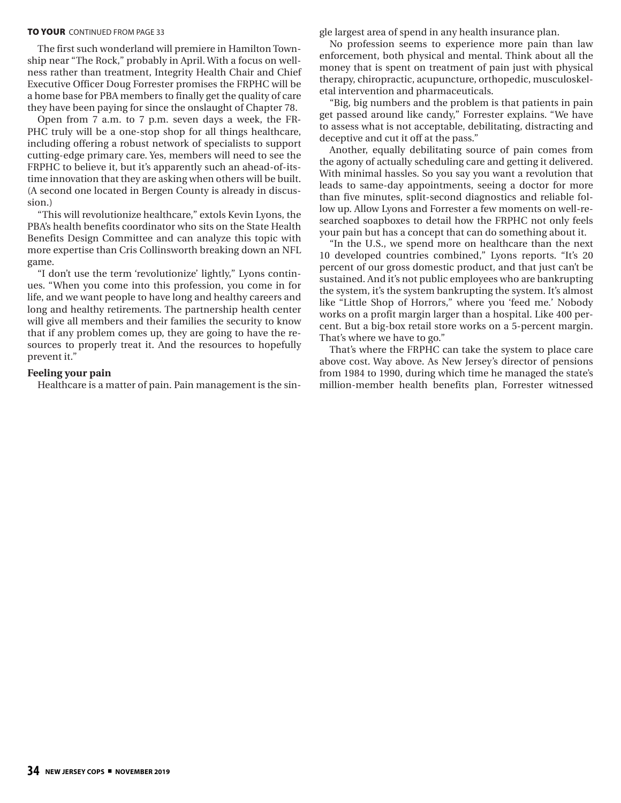## **TO YOUR CONTINUED FROM PAGE 33**

The first such wonderland will premiere in Hamilton Township near "The Rock," probably in April. With a focus on wellness rather than treatment, Integrity Health Chair and Chief Executive Officer Doug Forrester promises the FRPHC will be a home base for PBA members to finally get the quality of care they have been paying for since the onslaught of Chapter 78.

Open from 7 a.m. to 7 p.m. seven days a week, the FR-PHC truly will be a one-stop shop for all things healthcare, including offering a robust network of specialists to support cutting-edge primary care. Yes, members will need to see the FRPHC to believe it, but it's apparently such an ahead-of-itstime innovation that they are asking when others will be built. (A second one located in Bergen County is already in discussion.)

"This will revolutionize healthcare," extols Kevin Lyons, the PBA's health benefits coordinator who sits on the State Health Benefits Design Committee and can analyze this topic with more expertise than Cris Collinsworth breaking down an NFL game.

"I don't use the term 'revolutionize' lightly," Lyons continues. "When you come into this profession, you come in for life, and we want people to have long and healthy careers and long and healthy retirements. The partnership health center will give all members and their families the security to know that if any problem comes up, they are going to have the resources to properly treat it. And the resources to hopefully prevent it."

# **Feeling your pain**

Healthcare is a matter of pain. Pain management is the sin-

gle largest area of spend in any health insurance plan.

No profession seems to experience more pain than law enforcement, both physical and mental. Think about all the money that is spent on treatment of pain just with physical therapy, chiropractic, acupuncture, orthopedic, musculoskeletal intervention and pharmaceuticals.

"Big, big numbers and the problem is that patients in pain get passed around like candy," Forrester explains. "We have to assess what is not acceptable, debilitating, distracting and deceptive and cut it off at the pass."

Another, equally debilitating source of pain comes from the agony of actually scheduling care and getting it delivered. With minimal hassles. So you say you want a revolution that leads to same-day appointments, seeing a doctor for more than five minutes, split-second diagnostics and reliable follow up. Allow Lyons and Forrester a few moments on well-researched soapboxes to detail how the FRPHC not only feels your pain but has a concept that can do something about it.

"In the U.S., we spend more on healthcare than the next 10 developed countries combined," Lyons reports. "It's 20 percent of our gross domestic product, and that just can't be sustained. And it's not public employees who are bankrupting the system, it's the system bankrupting the system. It's almost like "Little Shop of Horrors," where you 'feed me.' Nobody works on a profit margin larger than a hospital. Like 400 percent. But a big-box retail store works on a 5-percent margin. That's where we have to go."

That's where the FRPHC can take the system to place care above cost. Way above. As New Jersey's director of pensions from 1984 to 1990, during which time he managed the state's million-member health benefits plan, Forrester witnessed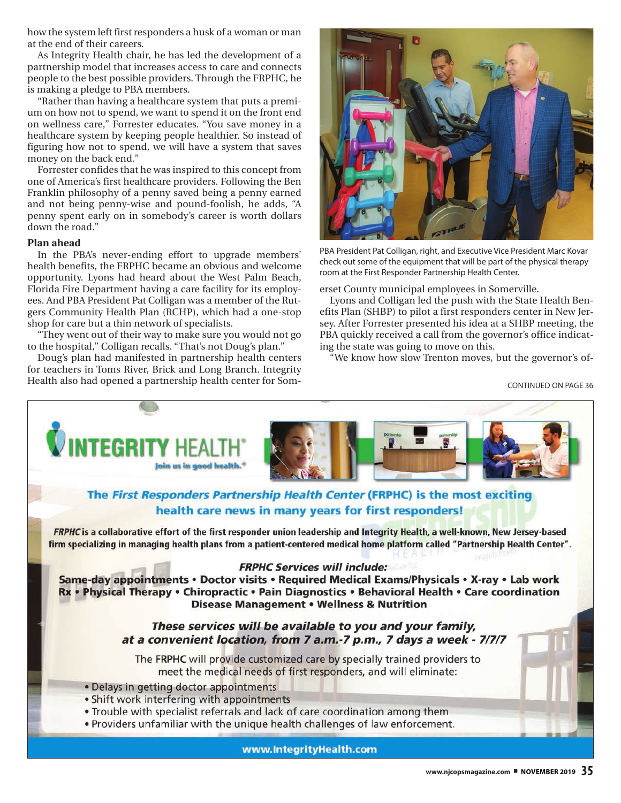how the system left first responders a husk of a woman or man at the end of their careers.

As Integrity Health chair, he has led the development of a partnership model that increases access to care and connects people to the best possible providers. Through the FRPHC, he is making a pledge to PBA members.

"Rather than having a healthcare system that puts a premium on how not to spend, we want to spend it on the front end on wellness care," Forrester educates. "You save money in a healthcare system by keeping people healthier. So instead of figuring how not to spend, we will have a system that saves money on the back end."

Forrester confides that he was inspired to this concept from one of America's first healthcare providers. Following the Ben Franklin philosophy of a penny saved being a penny earned and not being penny-wise and pound-foolish, he adds, "A penny spent early on in somebody's career is worth dollars down the road."

# **Plan ahead**

In the PBA's never-ending effort to upgrade members' health benefits, the FRPHC became an obvious and welcome opportunity. Lyons had heard about the West Palm Beach, Florida Fire Department having a care facility for its employees. And PBA President Pat Colligan was a member of the Rutgers Community Health Plan (RCHP), which had a one-stop shop for care but a thin network of specialists.

"They went out of their way to make sure you would not go to the hospital," Colligan recalls. "That's not Doug's plan."

Doug's plan had manifested in partnership health centers for teachers in Toms River, Brick and Long Branch. Integrity Health also had opened a partnership health center for Som-



PBA President Pat Colligan, right, and Executive Vice President Marc Kovar check out some of the equipment that will be part of the physical therapy room at the First Responder Partnership Health Center.

erset County municipal employees in Somerville.

Lyons and Colligan led the push with the State Health Benefits Plan (SHBP) to pilot a first responders center in New Jersey. After Forrester presented his idea at a SHBP meeting, the PBA quickly received a call from the governor's office indicating the state was going to move on this.

"We know how slow Trenton moves, but the governor's of-

CONTINUED ON PAGE 36